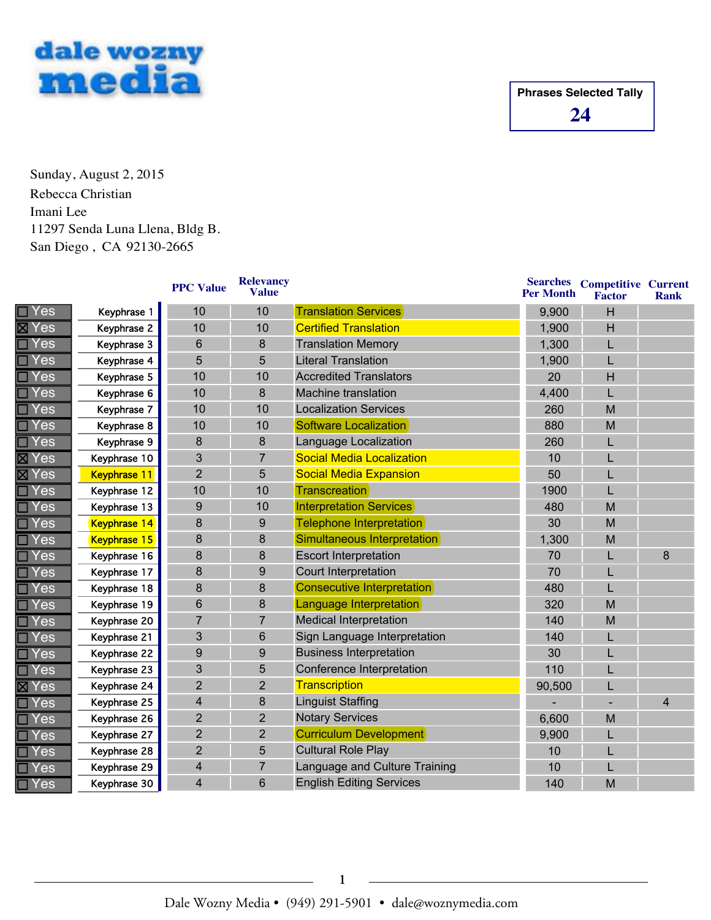

Sunday, August 2, 2015 Imani Lee 11297 Senda Luna Llena, Bldg B. San Diego , CA 92130-2665 Rebecca Christian

|                            |                     | <b>PPC Value</b>        | <b>Relevancy</b><br><b>Value</b> |                                   | <b>Searches</b><br><b>Per Month</b> | <b>Competitive Current</b><br><b>Factor</b> | <b>Rank</b>    |
|----------------------------|---------------------|-------------------------|----------------------------------|-----------------------------------|-------------------------------------|---------------------------------------------|----------------|
| $\Box$ Yes                 | Keyphrase 1         | 10                      | 10                               | <b>Translation Services</b>       | 9,900                               | H                                           |                |
| $\overline{\boxtimes}$ Yes | Keyphrase 2         | 10                      | 10                               | <b>Certified Translation</b>      | 1,900                               | H                                           |                |
| $\Box$ Yes                 | Keyphrase 3         | $6\phantom{1}$          | 8                                | <b>Translation Memory</b>         | 1,300                               | L                                           |                |
| $\Box$ Yes                 | Keyphrase 4         | 5                       | 5                                | <b>Literal Translation</b>        | 1,900                               | L                                           |                |
| $\Box$ Yes                 | Keyphrase 5         | 10                      | 10                               | <b>Accredited Translators</b>     | 20                                  | H                                           |                |
| $\Box$ Yes                 | Keyphrase 6         | 10                      | 8                                | <b>Machine translation</b>        | 4,400                               | L                                           |                |
| $\Box$ Yes                 | Keyphrase 7         | 10                      | 10                               | <b>Localization Services</b>      | 260                                 | M                                           |                |
| <b>Yes</b>                 | Keyphrase 8         | 10                      | 10                               | Software Localization             | 880                                 | M                                           |                |
| $\Box$ Yes                 | Keyphrase 9         | 8                       | 8                                | Language Localization             | 260                                 | L                                           |                |
| <b>区Yes</b>                | Keyphrase 10        | 3                       | $\overline{7}$                   | <b>Social Media Localization</b>  | 10                                  |                                             |                |
| <b>X</b> Yes               | <b>Keyphrase 11</b> | $\overline{2}$          | 5                                | <b>Social Media Expansion</b>     | 50                                  |                                             |                |
| $\Box$ Yes                 | Keyphrase 12        | 10                      | 10                               | <b>Transcreation</b>              | 1900                                |                                             |                |
| $\Box$ Yes                 | Keyphrase 13        | $\overline{9}$          | 10                               | <b>Interpretation Services</b>    | 480                                 | M                                           |                |
| <b>Yes</b>                 | <b>Keyphrase 14</b> | 8                       | 9                                | <b>Telephone Interpretation</b>   | 30                                  | M                                           |                |
| <b>Yes</b>                 | Keyphrase 15        | 8                       | 8                                | Simultaneous Interpretation       | 1,300                               | M                                           |                |
| $\Box$ Yes                 | Keyphrase 16        | 8                       | 8                                | <b>Escort Interpretation</b>      | 70                                  |                                             | 8              |
| Yes                        | Keyphrase 17        | 8                       | 9                                | <b>Court Interpretation</b>       | 70                                  |                                             |                |
| $\Box$ Yes                 | Keyphrase 18        | 8                       | 8                                | <b>Consecutive Interpretation</b> | 480                                 |                                             |                |
| Yes                        | Keyphrase 19        | $6\phantom{1}6$         | 8                                | Language Interpretation           | 320                                 | M                                           |                |
| <b>TYes</b>                | Keyphrase 20        | $\overline{7}$          | $\overline{7}$                   | <b>Medical Interpretation</b>     | 140                                 | M                                           |                |
| <b>Yes</b>                 | Keyphrase 21        | 3                       | 6                                | Sign Language Interpretation      | 140                                 |                                             |                |
| Yes                        | Keyphrase 22        | 9                       | 9                                | <b>Business Interpretation</b>    | 30                                  |                                             |                |
| $\Box$ Yes                 | Keyphrase 23        | 3                       | 5                                | Conference Interpretation         | 110                                 |                                             |                |
| <b>区Yes</b>                | Keyphrase 24        | $\overline{2}$          | $\overline{2}$                   | Transcription                     | 90,500                              | L                                           |                |
| $\Box$ Yes                 | Keyphrase 25        | $\overline{\mathbf{4}}$ | 8                                | <b>Linguist Staffing</b>          |                                     |                                             | $\overline{4}$ |
| $\Box$ Yes                 | Keyphrase 26        | $\overline{2}$          | $\overline{2}$                   | <b>Notary Services</b>            | 6,600                               | M                                           |                |
| $\Box$ Yes                 | Keyphrase 27        | $\overline{2}$          | $\overline{2}$                   | <b>Curriculum Development</b>     | 9,900                               | L                                           |                |
| <b>Yes</b>                 | Keyphrase 28        | $\overline{2}$          | 5                                | <b>Cultural Role Play</b>         | 10                                  |                                             |                |
| <b>Yes</b>                 | Keyphrase 29        | $\overline{\mathbf{4}}$ | $\overline{7}$                   | Language and Culture Training     | 10                                  | L                                           |                |
| $\Box$ Yes                 | Keyphrase 30        | $\overline{\mathbf{4}}$ | 6                                | <b>English Editing Services</b>   | 140                                 | M                                           |                |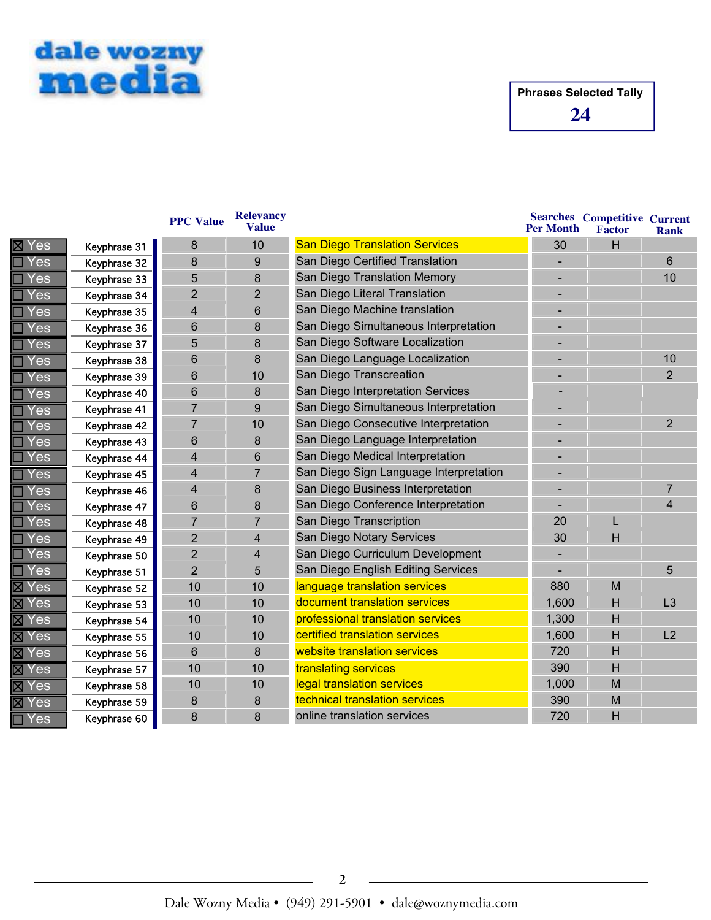

|                    |              | <b>PPC Value</b>        | <b>Relevancy</b><br><b>Value</b> |                                        | <b>Per Month</b> | <b>Searches Competitive Current</b><br>Factor | <b>Rank</b>    |
|--------------------|--------------|-------------------------|----------------------------------|----------------------------------------|------------------|-----------------------------------------------|----------------|
| Yes                | Keyphrase 31 | 8                       | 10                               | <b>San Diego Translation Services</b>  | 30               | H                                             |                |
| Yes                | Keyphrase 32 | 8                       | 9                                | San Diego Certified Translation        |                  |                                               | 6              |
| Yes                | Keyphrase 33 | 5                       | 8                                | San Diego Translation Memory           |                  |                                               | 10             |
| Yes                | Keyphrase 34 | $\overline{2}$          | $\overline{2}$                   | San Diego Literal Translation          |                  |                                               |                |
| Yes                | Keyphrase 35 | 4                       | 6                                | San Diego Machine translation          |                  |                                               |                |
| Yes                | Keyphrase 36 | $6\phantom{1}$          | 8                                | San Diego Simultaneous Interpretation  |                  |                                               |                |
| Yes                | Keyphrase 37 | 5                       | 8                                | San Diego Software Localization        |                  |                                               |                |
| Yes                | Keyphrase 38 | 6                       | 8                                | San Diego Language Localization        |                  |                                               | 10             |
| Yes                | Keyphrase 39 | 6                       | 10                               | San Diego Transcreation                |                  |                                               | $\overline{2}$ |
| Yes                | Keyphrase 40 | 6                       | 8                                | San Diego Interpretation Services      |                  |                                               |                |
| Yes                | Keyphrase 41 | $\overline{7}$          | 9                                | San Diego Simultaneous Interpretation  | -                |                                               |                |
| Yes                | Keyphrase 42 | $\overline{7}$          | 10                               | San Diego Consecutive Interpretation   |                  |                                               | $\overline{2}$ |
| Yes                | Keyphrase 43 | 6                       | 8                                | San Diego Language Interpretation      |                  |                                               |                |
| es/                | Keyphrase 44 | $\overline{\mathbf{4}}$ | 6                                | San Diego Medical Interpretation       |                  |                                               |                |
| 'es                | Keyphrase 45 | 4                       | $\overline{7}$                   | San Diego Sign Language Interpretation |                  |                                               |                |
| Yes                | Keyphrase 46 | 4                       | 8                                | San Diego Business Interpretation      |                  |                                               | $\overline{7}$ |
| Yes                | Keyphrase 47 | 6                       | 8                                | San Diego Conference Interpretation    |                  |                                               | 4              |
| Yes                | Keyphrase 48 | $\overline{7}$          | $\overline{7}$                   | San Diego Transcription                | 20               | L                                             |                |
| Yes                | Keyphrase 49 | $\overline{2}$          | $\overline{4}$                   | San Diego Notary Services              | 30               | Н                                             |                |
| Yes                | Keyphrase 50 | $\overline{2}$          | 4                                | San Diego Curriculum Development       |                  |                                               |                |
| Yes                | Keyphrase 51 | $\overline{2}$          | 5                                | San Diego English Editing Services     |                  |                                               | 5              |
| Yes                | Keyphrase 52 | 10                      | 10                               | language translation services          | 880              | M                                             |                |
| Yes                | Keyphrase 53 | 10                      | 10                               | document translation services          | 1,600            | H                                             | L3             |
| Yes                | Keyphrase 54 | 10                      | 10                               | professional translation services      | 1,300            | H                                             |                |
| <b>区 Yes</b>       | Keyphrase 55 | 10                      | 10                               | certified translation services         | 1,600            | H                                             | L2             |
| Yes<br>⊠           | Keyphrase 56 | 6                       | 8                                | website translation services           | 720              | н                                             |                |
| Yes<br>$\boxtimes$ | Keyphrase 57 | 10                      | 10                               | translating services                   | 390              | H                                             |                |
| Yes                | Keyphrase 58 | 10                      | 10                               | legal translation services             | 1,000            | M                                             |                |
| Yes                | Keyphrase 59 | 8                       | 8                                | technical translation services         | 390              | M                                             |                |
| Yes                | Keyphrase 60 | 8                       | 8                                | online translation services            | 720              | Η                                             |                |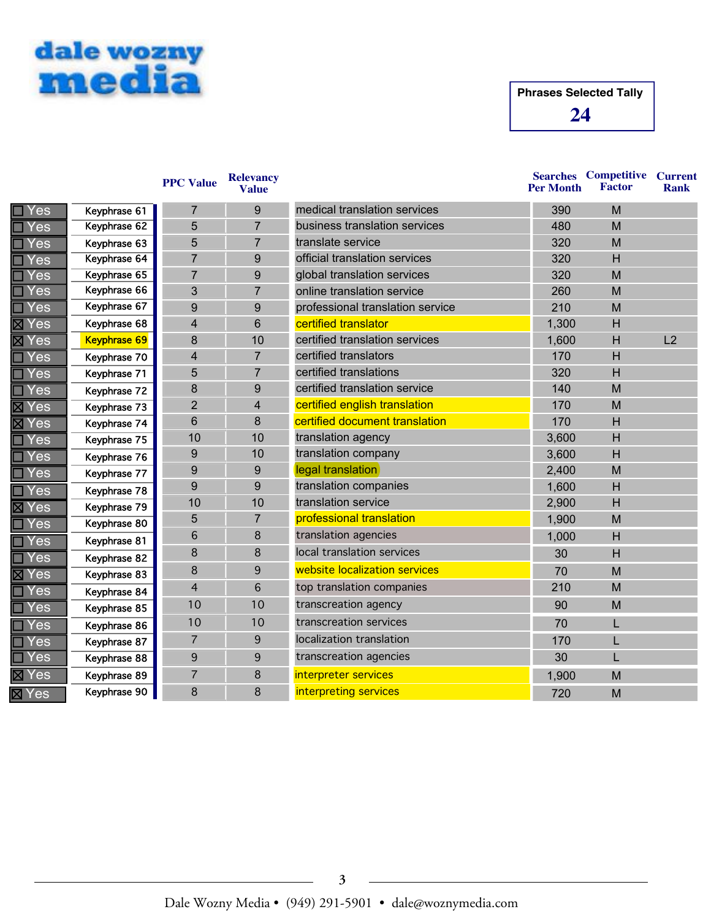

|                             |                     | <b>PPC Value</b> | <b>Relevancy</b><br><b>Value</b> |                                  | <b>Per Month</b> | <b>Searches Competitive Current</b><br><b>Factor</b> | <b>Rank</b> |
|-----------------------------|---------------------|------------------|----------------------------------|----------------------------------|------------------|------------------------------------------------------|-------------|
| Yes                         | Keyphrase 61        | 7                | 9                                | medical translation services     | 390              | M                                                    |             |
| Yes                         | Keyphrase 62        | 5                | $\overline{7}$                   | business translation services    | 480              | M                                                    |             |
| Yes                         | Keyphrase 63        | 5                | 7                                | translate service                | 320              | M                                                    |             |
| Yes                         | Keyphrase 64        | $\overline{7}$   | 9                                | official translation services    | 320              | H                                                    |             |
| Yes                         | Keyphrase 65        | $\overline{7}$   | 9                                | global translation services      | 320              | M                                                    |             |
| <b>Yes</b>                  | Keyphrase 66        | 3                | $\overline{7}$                   | online translation service       | 260              | M                                                    |             |
| Yes                         | Keyphrase 67        | 9                | 9                                | professional translation service | 210              | M                                                    |             |
| <b>X</b> Yes                | Keyphrase 68        | $\overline{4}$   | 6                                | certified translator             | 1,300            | H                                                    |             |
| <b>X</b> Yes                | <b>Keyphrase 69</b> | 8                | 10                               | certified translation services   | 1,600            | H                                                    | L2          |
| $\blacksquare$ Yes          | Keyphrase 70        | 4                | $\overline{7}$                   | certified translators            | 170              | H                                                    |             |
| Yes                         | Keyphrase 71        | 5                | $\overline{7}$                   | certified translations           | 320              | H                                                    |             |
| $\Box$ Yes                  | Keyphrase 72        | 8                | 9                                | certified translation service    | 140              | M                                                    |             |
| <b>X</b> Yes                | Keyphrase 73        | $\overline{2}$   | $\overline{4}$                   | certified english translation    | 170              | M                                                    |             |
| ⊠ Yes                       | Keyphrase 74        | 6                | 8                                | certified document translation   | 170              | H                                                    |             |
| $\Box$ Yes                  | Keyphrase 75        | 10               | 10                               | translation agency               | 3,600            | H                                                    |             |
| Yes                         | Keyphrase 76        | 9                | 10                               | translation company              | 3,600            | H                                                    |             |
| Yes                         | Keyphrase 77        | 9                | 9                                | legal translation                | 2,400            | M                                                    |             |
| Yes                         | Keyphrase 78        | 9                | 9                                | translation companies            | 1,600            | H                                                    |             |
| <b>X</b> Yes                | Keyphrase 79        | 10               | 10                               | translation service              | 2,900            | H                                                    |             |
| Yes                         | Keyphrase 80        | 5                | 7                                | professional translation         | 1,900            | M                                                    |             |
| Yes                         | Keyphrase 81        | 6                | 8                                | translation agencies             | 1,000            | H                                                    |             |
| Yes                         | Keyphrase 82        | 8                | 8                                | local translation services       | 30               | H                                                    |             |
| ⊠ Yes                       | Keyphrase 83        | 8                | 9                                | website localization services    | 70               | M                                                    |             |
| Yes                         | Keyphrase 84        | 4                | 6                                | top translation companies        | 210              | M                                                    |             |
| <b>Yes</b>                  | Keyphrase 85        | 10               | 10                               | transcreation agency             | 90               | M                                                    |             |
| Yes                         | Keyphrase 86        | 10               | 10                               | transcreation services           | 70               | L                                                    |             |
| Yes                         | Keyphrase 87        | $\overline{7}$   | 9                                | localization translation         | 170              | L                                                    |             |
| Yes                         | Keyphrase 88        | 9                | 9                                | transcreation agencies           | 30               |                                                      |             |
| ⊠ Yes                       | Keyphrase 89        | $\overline{7}$   | 8                                | interpreter services             | 1,900            | M                                                    |             |
| $\overline{\mathbb{X}}$ Yes | Keyphrase 90        | 8                | 8                                | interpreting services            | 720              | M                                                    |             |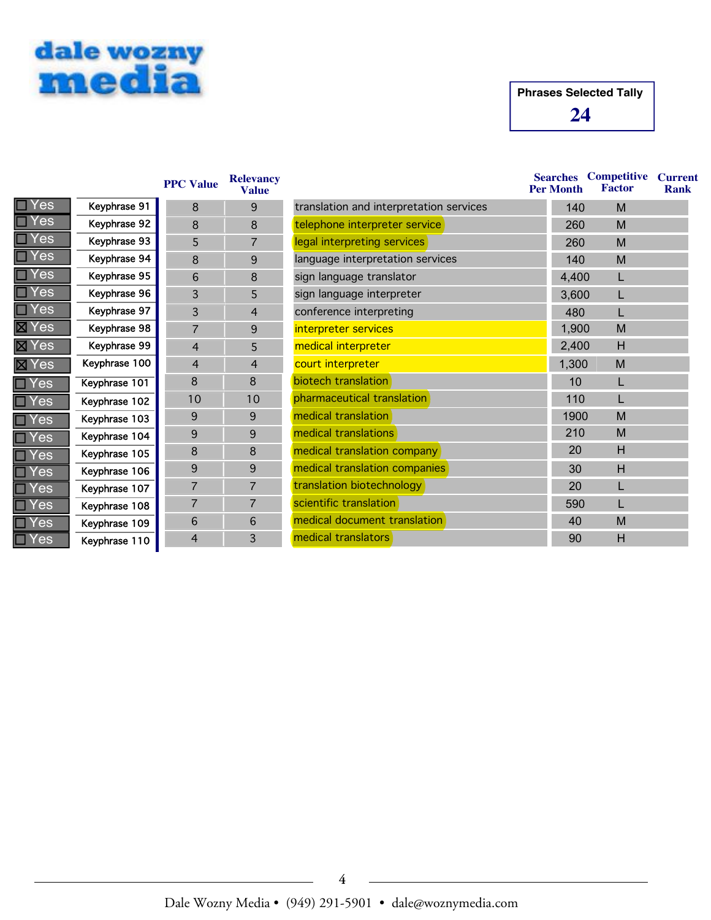

 $\overline{\boxtimes}$  Ye  $\Box$  Ye  $\Box$  Ye  $\Box$  Ye  $\Box$  Ye  $\Box$  Ye  $\blacksquare$  Ye  $\Box$  Ye  $\exists$  Ye  $\mathsf{T} \mathsf{Y} \mathsf{e}$ Ye

## **24 Phrases Selected Tally**

|              |               | <b>PPC Value</b> | <b>Relevancy</b><br><b>Value</b> |                                         | <b>Searches</b><br><b>Per Month</b> | <b>Competitive</b><br><b>Factor</b> | <b>Current</b><br>Rank |
|--------------|---------------|------------------|----------------------------------|-----------------------------------------|-------------------------------------|-------------------------------------|------------------------|
| Yes<br>П     | Keyphrase 91  | 8                | 9                                | translation and interpretation services | 140                                 | M                                   |                        |
| Yes          | Keyphrase 92  | 8                | 8                                | telephone interpreter service           | 260                                 | M                                   |                        |
| Yes          | Keyphrase 93  | 5                | $\overline{7}$                   | legal interpreting services             | 260                                 | M                                   |                        |
| Yes          | Keyphrase 94  | 8                | 9                                | language interpretation services        | 140                                 | M                                   |                        |
| Yes          | Keyphrase 95  | 6                | 8                                | sign language translator                | 4,400                               | L                                   |                        |
| Yes          | Keyphrase 96  | 3                | 5                                | sign language interpreter               | 3,600                               | L                                   |                        |
| $\Box$ Yes   | Keyphrase 97  | 3                | 4                                | conference interpreting                 | 480                                 |                                     |                        |
| <b>区 Yes</b> | Keyphrase 98  | $\overline{7}$   | 9                                | interpreter services                    | 1,900                               | M                                   |                        |
| <b>区 Yes</b> | Keyphrase 99  | $\overline{4}$   | 5                                | medical interpreter                     | 2,400                               | H                                   |                        |
| <b>区 Yes</b> | Keyphrase 100 | 4                | $\overline{4}$                   | court interpreter                       | 1,300                               | M                                   |                        |
| $\Box$ Yes   | Keyphrase 101 | 8                | 8                                | biotech translation                     | 10                                  |                                     |                        |
| $\Box$ Yes   | Keyphrase 102 | 10               | 10                               | pharmaceutical translation              | 110                                 |                                     |                        |
| $\Box$ Yes   | Keyphrase 103 | 9                | 9                                | medical translation                     | 1900                                | M                                   |                        |
| $\Box$ Yes   | Keyphrase 104 | 9                | 9                                | medical translations                    | 210                                 | M                                   |                        |
| $\Box$ Yes   | Keyphrase 105 | 8                | 8                                | medical translation company             | 20                                  | H                                   |                        |
| $\Box$ Yes   | Keyphrase 106 | 9                | 9                                | medical translation companies           | 30                                  | H                                   |                        |
| $\Box$ Yes   | Keyphrase 107 | $\overline{7}$   | 7                                | translation biotechnology               | 20                                  |                                     |                        |
| $\Box$ Yes   | Keyphrase 108 | 7                | 7                                | scientific translation                  | 590                                 |                                     |                        |
| $\Box$ Yes   | Keyphrase 109 | 6                | 6                                | medical document translation            | 40                                  | M                                   |                        |
| $\Box$ Yes   | Keyphrase 110 | $\overline{4}$   | 3                                | medical translators                     | 90                                  | H                                   |                        |

#### Dale Wozny Media • (949) 291-5901 • dale@woznymedia.com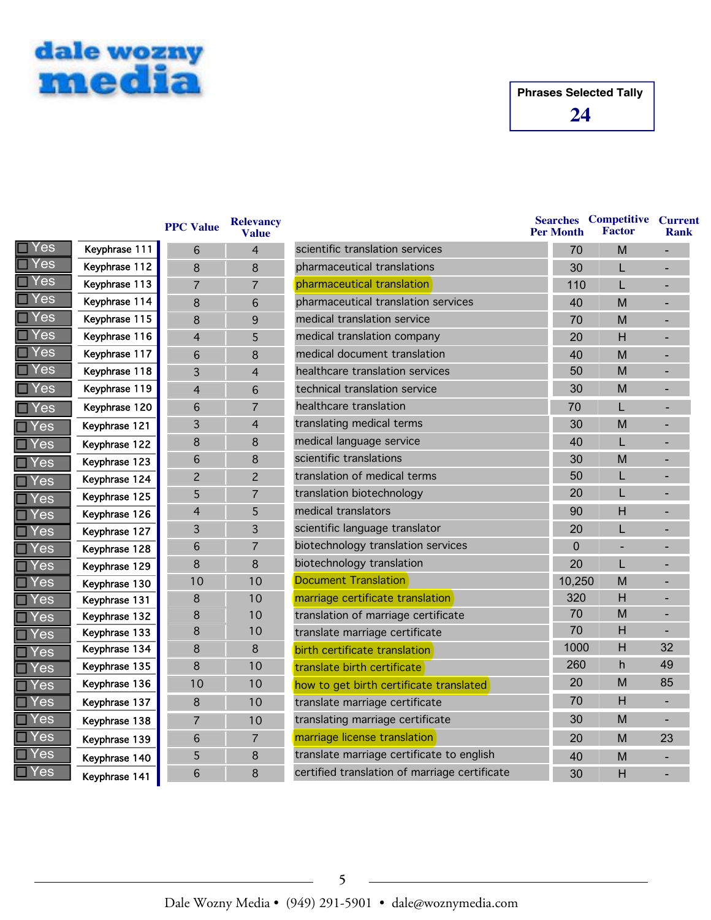

|               |                                                 | Valu                         |
|---------------|-------------------------------------------------|------------------------------|
| Keyphrase 111 | 6                                               | 4                            |
| Keyphrase 112 | 8                                               | 8                            |
| Keyphrase 113 | 7                                               | 7                            |
| Keyphrase 114 | 8                                               | 6                            |
| Keyphrase 115 | 8                                               | 9                            |
| Keyphrase 116 | 4                                               | 5                            |
| Keyphrase 117 | 6                                               | 8                            |
| Keyphrase 118 | 3                                               | 4                            |
| Keyphrase 119 | 4                                               | 6                            |
| Keyphrase 120 | 6                                               | $\overline{7}$               |
| Keyphrase 121 | 3                                               | 4                            |
| Keyphrase 122 | 8                                               | 8                            |
| Keyphrase 123 | 6                                               | 8                            |
| Keyphrase 124 | $\overline{c}$                                  | 2                            |
| Keyphrase 125 | 5                                               | 7                            |
| Keyphrase 126 | 4                                               | 5                            |
| Keyphrase 127 | 3                                               | 3                            |
| Keyphrase 128 | 6                                               | 7                            |
| Keyphrase 129 | 8                                               | 8                            |
| Keyphrase 130 |                                                 | 10                           |
| Keyphrase 131 | 8                                               | 10                           |
| Keyphrase 132 |                                                 | 10                           |
| Keyphrase 133 |                                                 | 10                           |
|               |                                                 | 8                            |
|               |                                                 | 10                           |
|               |                                                 | 10                           |
| Keyphrase 137 | 8                                               | 10                           |
| Keyphrase 138 | $\overline{7}$                                  | 10                           |
| Keyphrase 139 | 6                                               | $\overline{7}$               |
| Keyphrase 140 | 5                                               | 8                            |
| Keyphrase 141 | 6                                               | 8                            |
|               | Keyphrase 134<br>Keyphrase 135<br>Keyphrase 136 | 10<br>8<br>8<br>8<br>8<br>10 |

| <b>PPC Value</b>         | <b>Relevancy</b><br><b>Value</b> |                                               | <b>Per Month</b> | <b>Searches Competitive Current</b><br><b>Factor</b> | Rank                     |
|--------------------------|----------------------------------|-----------------------------------------------|------------------|------------------------------------------------------|--------------------------|
| 6                        | $\overline{4}$                   | scientific translation services               | 70               | M                                                    |                          |
| 8                        | 8                                | pharmaceutical translations                   | 30               | L                                                    |                          |
| $\overline{7}$           | 7                                | pharmaceutical translation                    | 110              | L                                                    |                          |
| 8                        | 6                                | pharmaceutical translation services           | 40               | M                                                    |                          |
| 8                        | 9                                | medical translation service                   | 70               | M                                                    |                          |
| $\overline{\mathcal{A}}$ | 5                                | medical translation company                   | 20               | H                                                    |                          |
| 6                        | 8                                | medical document translation                  | 40               | M                                                    |                          |
| 3                        | $\overline{4}$                   | healthcare translation services               | 50               | M                                                    |                          |
| $\overline{4}$           | 6                                | technical translation service                 | 30               | M                                                    |                          |
| 6                        | 7                                | healthcare translation                        | 70               | L                                                    |                          |
| 3                        | $\overline{4}$                   | translating medical terms                     | 30               | M                                                    |                          |
| 8                        | 8                                | medical language service                      | 40               | L                                                    | $\overline{\phantom{0}}$ |
| 6                        | 8                                | scientific translations                       | 30               | M                                                    | -                        |
| $\overline{c}$           | $\overline{c}$                   | translation of medical terms                  | 50               | L                                                    |                          |
| 5                        | 7                                | translation biotechnology                     | 20               | L                                                    |                          |
| $\overline{4}$           | 5                                | medical translators                           | 90               | H                                                    |                          |
| 3                        | 3                                | scientific language translator                | 20               | L                                                    |                          |
| 6                        | 7                                | biotechnology translation services            | $\overline{0}$   |                                                      |                          |
| 8                        | 8                                | biotechnology translation                     | 20               | L                                                    |                          |
| 10                       | 10                               | <b>Document Translation</b>                   | 10,250           | M                                                    |                          |
| 8                        | 10                               | marriage certificate translation              | 320              | H                                                    |                          |
| 8                        | 10                               | translation of marriage certificate           | 70               | M                                                    |                          |
| 8                        | 10                               | translate marriage certificate                | 70               | H                                                    |                          |
| 8                        | 8                                | birth certificate translation                 | 1000             | H                                                    | 32                       |
| 8                        | 10                               | translate birth certificate                   | 260              | h                                                    | 49                       |
| 10                       | 10                               | how to get birth certificate translated       | 20               | M                                                    | 85                       |
| 8                        | 10                               | translate marriage certificate                | 70               | H                                                    |                          |
| $\overline{7}$           | 10                               | translating marriage certificate              | 30               | M                                                    |                          |
| 6                        | 7                                | marriage license translation                  | 20               | M                                                    | 23                       |
| 5                        | 8                                | translate marriage certificate to english     | 40               | M                                                    |                          |
| 6                        | 8                                | certified translation of marriage certificate | 30               | H                                                    |                          |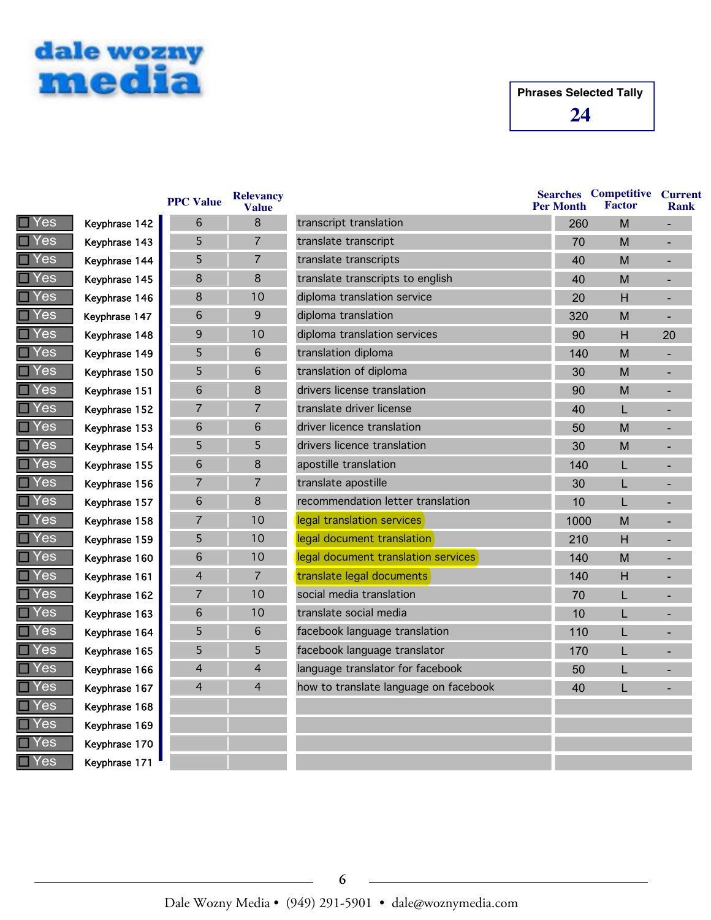



|               |               | <b>PPC Value</b> | <b>Relevancy</b><br><b>Value</b> |                                       | <b>Per Month</b> | <b>Searches</b> Competitive<br><b>Factor</b> | <b>Current</b><br><b>Rank</b> |
|---------------|---------------|------------------|----------------------------------|---------------------------------------|------------------|----------------------------------------------|-------------------------------|
| Yes           | Keyphrase 142 | 6                | 8                                | transcript translation                | 260              | M                                            |                               |
| es/           | Keyphrase 143 | 5                | $\overline{7}$                   | translate transcript                  | 70               | M                                            |                               |
| Yes           | Keyphrase 144 | 5                | $\overline{7}$                   | translate transcripts                 | 40               | M                                            |                               |
| Yes           | Keyphrase 145 | 8                | $\bf 8$                          | translate transcripts to english      | 40               | M                                            |                               |
| Yes           | Keyphrase 146 | 8                | 10                               | diploma translation service           | 20               | H                                            |                               |
| Yes           | Keyphrase 147 | $6\phantom{1}$   | 9                                | diploma translation                   | 320              | M                                            |                               |
| es/           | Keyphrase 148 | 9                | 10                               | diploma translation services          | 90               | H                                            | 20                            |
| es/           | Keyphrase 149 | 5                | 6                                | translation diploma                   | 140              | M                                            |                               |
| Yes           | Keyphrase 150 | 5                | 6                                | translation of diploma                | 30               | M                                            |                               |
| Yes           | Keyphrase 151 | $\sqrt{6}$       | 8                                | drivers license translation           | 90               | M                                            |                               |
| Yes           | Keyphrase 152 | $\overline{7}$   | $\overline{7}$                   | translate driver license              | 40               | L                                            |                               |
| es/           | Keyphrase 153 | $6\phantom{1}6$  | 6                                | driver licence translation            | 50               | M                                            |                               |
| Yes           | Keyphrase 154 | 5                | 5                                | drivers licence translation           | 30               | M                                            |                               |
| es/           | Keyphrase 155 | $\sqrt{6}$       | 8                                | apostille translation                 | 140              | L                                            |                               |
| Yes           | Keyphrase 156 | $\overline{7}$   | $\overline{7}$                   | translate apostille                   | 30               | L                                            |                               |
| <b>Yes</b>    | Keyphrase 157 | $\sqrt{6}$       | $\,8\,$                          | recommendation letter translation     | 10               | L                                            |                               |
| $\epsilon$ es | Keyphrase 158 | $\overline{7}$   | 10                               | legal translation services            | 1000             | M                                            |                               |
| Yes           | Keyphrase 159 | 5                | 10                               | legal document translation            | 210              | H                                            |                               |
| es/           | Keyphrase 160 | $6\phantom{1}6$  | 10                               | legal document translation services   | 140              | M                                            |                               |
| Yes           | Keyphrase 161 | $\overline{4}$   | $\overline{7}$                   | translate legal documents             | 140              | H                                            |                               |
| Yes           | Keyphrase 162 | $\overline{7}$   | 10                               | social media translation              | 70               | L                                            |                               |
| Yes           | Keyphrase 163 | $\sqrt{6}$       | 10                               | translate social media                | 10               | L                                            |                               |
| es            | Keyphrase 164 | 5                | 6                                | facebook language translation         | 110              | L                                            |                               |
| es/           | Keyphrase 165 | 5                | 5                                | facebook language translator          | 170              | L                                            |                               |
| Yes           | Keyphrase 166 | $\overline{4}$   | $\overline{4}$                   | language translator for facebook      | 50               | L                                            |                               |
| Yes           | Keyphrase 167 | $\overline{4}$   | $\overline{4}$                   | how to translate language on facebook | 40               | L                                            |                               |
| Yes           | Keyphrase 168 |                  |                                  |                                       |                  |                                              |                               |
| Yes           | Keyphrase 169 |                  |                                  |                                       |                  |                                              |                               |
| Yes           | Keyphrase 170 |                  |                                  |                                       |                  |                                              |                               |
| Yes           | Kevphrase 171 |                  |                                  |                                       |                  |                                              |                               |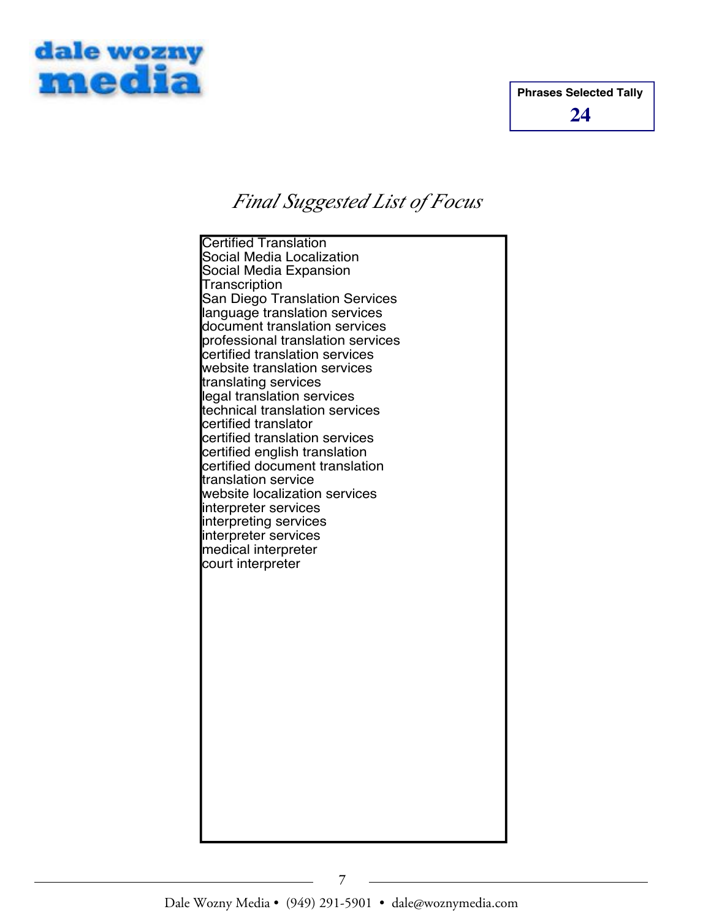



# *Final Suggested List of Focus*

Certified Translation Social Media Localization Social Media Expansion **Transcription** San Diego Translation Services language translation services document translation services professional translation services certified translation services website translation services translating services legal translation services technical translation services certified translator certified translation services certified english translation certified document translation translation service website localization services interpreter services interpreting services interpreter services medical interpreter court interpreter